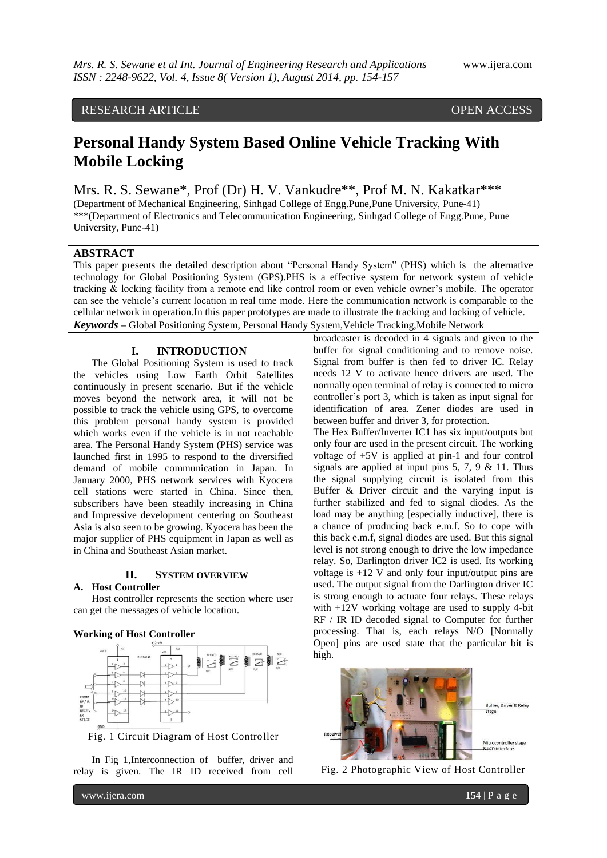# RESEARCH ARTICLE OPEN ACCESS

# **Personal Handy System Based Online Vehicle Tracking With Mobile Locking**

Mrs. R. S. Sewane\*, Prof (Dr) H. V. Vankudre\*\*, Prof M. N. Kakatkar\*\*\* (Department of Mechanical Engineering, Sinhgad College of Engg.Pune,Pune University, Pune-41) \*\*\*(Department of Electronics and Telecommunication Engineering, Sinhgad College of Engg.Pune, Pune University, Pune-41)

# **ABSTRACT**

This paper presents the detailed description about "Personal Handy System" (PHS) which is the alternative technology for Global Positioning System (GPS).PHS is a effective system for network system of vehicle tracking & locking facility from a remote end like control room or even vehicle owner"s mobile. The operator can see the vehicle"s current location in real time mode. Here the communication network is comparable to the cellular network in operation.In this paper prototypes are made to illustrate the tracking and locking of vehicle. *Keywords* **–** Global Positioning System, Personal Handy System,Vehicle Tracking,Mobile Network

## **I. INTRODUCTION**

The Global Positioning System is used to track the vehicles using Low Earth Orbit Satellites continuously in present scenario. But if the vehicle moves beyond the network area, it will not be possible to track the vehicle using GPS, to overcome this problem personal handy system is provided which works even if the vehicle is in not reachable area. The Personal Handy System (PHS) service was launched first in 1995 to respond to the diversified demand of mobile communication in Japan. In January 2000, PHS network services with Kyocera cell stations were started in China. Since then, subscribers have been steadily increasing in China and Impressive development centering on Southeast Asia is also seen to be growing. Kyocera has been the major supplier of PHS equipment in Japan as well as in China and Southeast Asian market.

#### **II. SYSTEM OVERVIEW**

# **A. Host Controller**

Host controller represents the section where user can get the messages of vehicle location.

# **Working of Host Controller**



Fig. 1 Circuit Diagram of Host Controller

In Fig 1,Interconnection of buffer, driver and relay is given. The IR ID received from cell broadcaster is decoded in 4 signals and given to the buffer for signal conditioning and to remove noise. Signal from buffer is then fed to driver IC. Relay needs 12 V to activate hence drivers are used. The normally open terminal of relay is connected to micro controller"s port 3, which is taken as input signal for identification of area. Zener diodes are used in between buffer and driver 3, for protection.

The Hex Buffer/Inverter IC1 has six input/outputs but only four are used in the present circuit. The working voltage of +5V is applied at pin-1 and four control signals are applied at input pins 5, 7, 9 & 11. Thus the signal supplying circuit is isolated from this Buffer & Driver circuit and the varying input is further stabilized and fed to signal diodes. As the load may be anything [especially inductive], there is a chance of producing back e.m.f. So to cope with this back e.m.f, signal diodes are used. But this signal level is not strong enough to drive the low impedance relay. So, Darlington driver IC2 is used. Its working voltage is +12 V and only four input/output pins are used. The output signal from the Darlington driver IC is strong enough to actuate four relays. These relays with +12V working voltage are used to supply 4-bit RF / IR ID decoded signal to Computer for further processing. That is, each relays N/O [Normally Open] pins are used state that the particular bit is high.



Fig. 2 Photographic View of Host Controller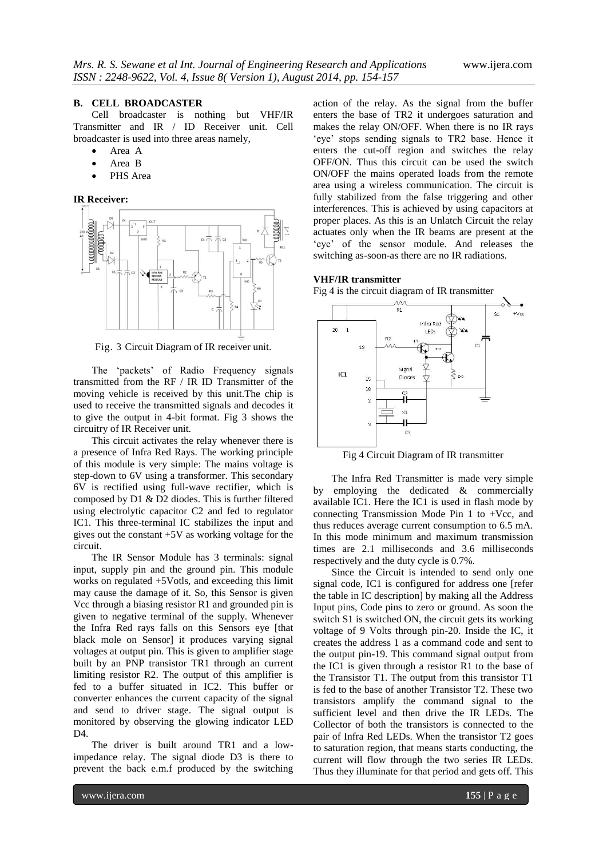#### **B. CELL BROADCASTER**

Cell broadcaster is nothing but VHF/IR Transmitter and IR / ID Receiver unit. Cell broadcaster is used into three areas namely,

- Area A
- Area B
- PHS Area

## **IR Receiver:**



Fig. 3 Circuit Diagram of IR receiver unit.

The "packets" of Radio Frequency signals transmitted from the RF / IR ID Transmitter of the moving vehicle is received by this unit.The chip is used to receive the transmitted signals and decodes it to give the output in 4-bit format. Fig 3 shows the circuitry of IR Receiver unit.

This circuit activates the relay whenever there is a presence of Infra Red Rays. The working principle of this module is very simple: The mains voltage is step-down to 6V using a transformer. This secondary 6V is rectified using full-wave rectifier, which is composed by D1 & D2 diodes. This is further filtered using electrolytic capacitor C2 and fed to regulator IC1. This three-terminal IC stabilizes the input and gives out the constant +5V as working voltage for the circuit.

The IR Sensor Module has 3 terminals: signal input, supply pin and the ground pin. This module works on regulated +5Votls, and exceeding this limit may cause the damage of it. So, this Sensor is given Vcc through a biasing resistor R1 and grounded pin is given to negative terminal of the supply. Whenever the Infra Red rays falls on this Sensors eye [that black mole on Sensor] it produces varying signal voltages at output pin. This is given to amplifier stage built by an PNP transistor TR1 through an current limiting resistor R2. The output of this amplifier is fed to a buffer situated in IC2. This buffer or converter enhances the current capacity of the signal and send to driver stage. The signal output is monitored by observing the glowing indicator LED D4.

The driver is built around TR1 and a lowimpedance relay. The signal diode D3 is there to prevent the back e.m.f produced by the switching

action of the relay. As the signal from the buffer enters the base of TR2 it undergoes saturation and makes the relay ON/OFF. When there is no IR rays 'eye' stops sending signals to TR2 base. Hence it enters the cut-off region and switches the relay OFF/ON. Thus this circuit can be used the switch ON/OFF the mains operated loads from the remote area using a wireless communication. The circuit is fully stabilized from the false triggering and other interferences. This is achieved by using capacitors at proper places. As this is an Unlatch Circuit the relay actuates only when the IR beams are present at the 'eye' of the sensor module. And releases the switching as-soon-as there are no IR radiations.

#### **VHF/IR transmitter**

Fig 4 is the circuit diagram of IR transmitter



Fig 4 Circuit Diagram of IR transmitter

The Infra Red Transmitter is made very simple by employing the dedicated & commercially available IC1. Here the IC1 is used in flash mode by connecting Transmission Mode Pin 1 to +Vcc, and thus reduces average current consumption to 6.5 mA. In this mode minimum and maximum transmission times are 2.1 milliseconds and 3.6 milliseconds respectively and the duty cycle is 0.7%.

Since the Circuit is intended to send only one signal code, IC1 is configured for address one [refer the table in IC description] by making all the Address Input pins, Code pins to zero or ground. As soon the switch S1 is switched ON, the circuit gets its working voltage of 9 Volts through pin-20. Inside the IC, it creates the address 1 as a command code and sent to the output pin-19. This command signal output from the IC1 is given through a resistor R1 to the base of the Transistor T1. The output from this transistor T1 is fed to the base of another Transistor T2. These two transistors amplify the command signal to the sufficient level and then drive the IR LEDs. The Collector of both the transistors is connected to the pair of Infra Red LEDs. When the transistor T2 goes to saturation region, that means starts conducting, the current will flow through the two series IR LEDs. Thus they illuminate for that period and gets off. This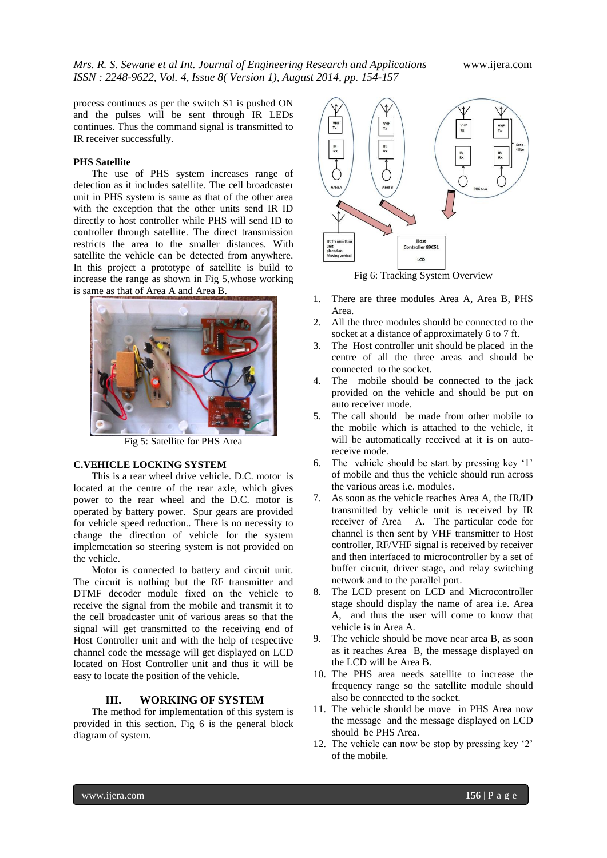process continues as per the switch S1 is pushed ON and the pulses will be sent through IR LEDs continues. Thus the command signal is transmitted to IR receiver successfully.

#### **PHS Satellite**

The use of PHS system increases range of detection as it includes satellite. The cell broadcaster unit in PHS system is same as that of the other area with the exception that the other units send IR ID directly to host controller while PHS will send ID to controller through satellite. The direct transmission restricts the area to the smaller distances. With satellite the vehicle can be detected from anywhere. In this project a prototype of satellite is build to increase the range as shown in Fig 5,whose working is same as that of Area A and Area B.



Fig 5: Satellite for PHS Area

# **C.VEHICLE LOCKING SYSTEM**

This is a rear wheel drive vehicle. D.C. motor is located at the centre of the rear axle, which gives power to the rear wheel and the D.C. motor is operated by battery power. Spur gears are provided for vehicle speed reduction.. There is no necessity to change the direction of vehicle for the system implemetation so steering system is not provided on the vehicle.

Motor is connected to battery and circuit unit. The circuit is nothing but the RF transmitter and DTMF decoder module fixed on the vehicle to receive the signal from the mobile and transmit it to the cell broadcaster unit of various areas so that the signal will get transmitted to the receiving end of Host Controller unit and with the help of respective channel code the message will get displayed on LCD located on Host Controller unit and thus it will be easy to locate the position of the vehicle.

# **III. WORKING OF SYSTEM**

The method for implementation of this system is provided in this section. Fig 6 is the general block diagram of system.



Fig 6: Tracking System Overview

- 1. There are three modules Area A, Area B, PHS Area.
- 2. All the three modules should be connected to the socket at a distance of approximately 6 to 7 ft.
- 3. The Host controller unit should be placed in the centre of all the three areas and should be connected to the socket.
- 4. The mobile should be connected to the jack provided on the vehicle and should be put on auto receiver mode.
- 5. The call should be made from other mobile to the mobile which is attached to the vehicle, it will be automatically received at it is on autoreceive mode.
- 6. The vehicle should be start by pressing key '1' of mobile and thus the vehicle should run across the various areas i.e. modules.
- 7. As soon as the vehicle reaches Area A, the IR/ID transmitted by vehicle unit is received by IR receiver of Area A. The particular code for channel is then sent by VHF transmitter to Host controller, RF/VHF signal is received by receiver and then interfaced to microcontroller by a set of buffer circuit, driver stage, and relay switching network and to the parallel port.
- 8. The LCD present on LCD and Microcontroller stage should display the name of area i.e. Area A, and thus the user will come to know that vehicle is in Area A.
- 9. The vehicle should be move near area B, as soon as it reaches Area B, the message displayed on the LCD will be Area B.
- 10. The PHS area needs satellite to increase the frequency range so the satellite module should also be connected to the socket.
- 11. The vehicle should be move in PHS Area now the message and the message displayed on LCD should be PHS Area.
- 12. The vehicle can now be stop by pressing key "2" of the mobile.